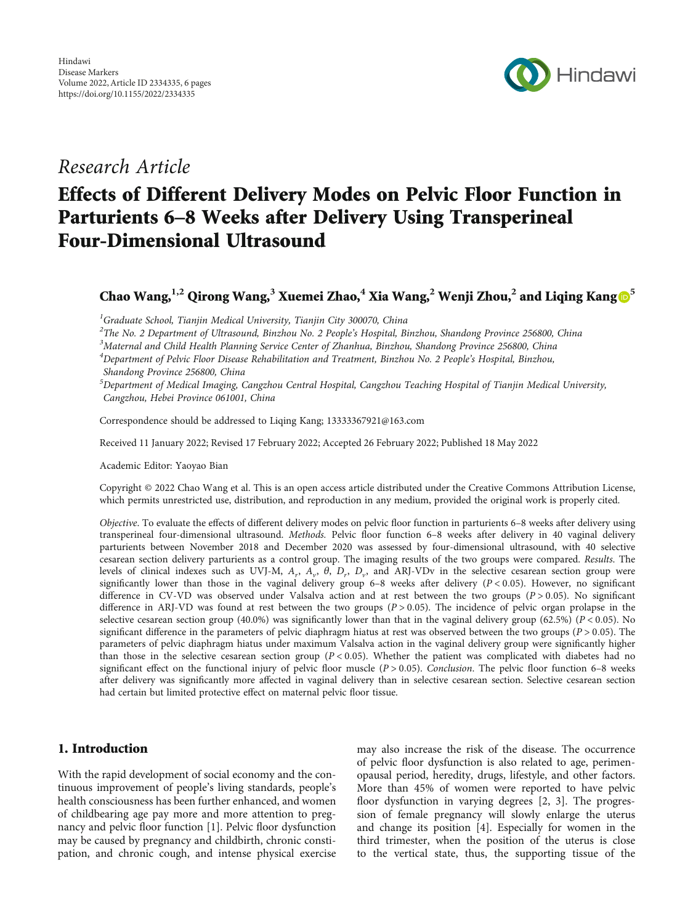

# Research Article

# Effects of Different Delivery Modes on Pelvic Floor Function in Parturients 6–8 Weeks after Delivery Using Transperineal Four-Dimensional Ultrasound

Chao Wang,**1,2** Qirong Wang,**<sup>3</sup>** Xuemei Zhao,**<sup>4</sup>** Xia Wang,**<sup>2</sup>** Wenji Zhou,**<sup>2</sup>** and Liqing Kang **<sup>5</sup>**

<sup>1</sup>Graduate School, Tianjin Medical University, Tianjin City 300070, China

<sup>2</sup>The No. 2 Department of Ultrasound, Binzhou No. 2 People's Hospital, Binzhou, Shandong Province 256800, China<br><sup>3</sup>Maternal and Child Hoslth Planning Service Center of Zhanhua, Binzhou, Shandong Province 256800, China

 ${}^{3}$ Maternal and Child Health Planning Service Center of Zhanhua, Binzhou, Shandong Province 256800, China

<sup>4</sup>Department of Pelvic Floor Disease Rehabilitation and Treatment, Binzhou No. 2 People's Hospital, Binzhou,

Shandong Province 256800, China

5 Department of Medical Imaging, Cangzhou Central Hospital, Cangzhou Teaching Hospital of Tianjin Medical University, Cangzhou, Hebei Province 061001, China

Correspondence should be addressed to Liqing Kang; 13333367921@163.com

Received 11 January 2022; Revised 17 February 2022; Accepted 26 February 2022; Published 18 May 2022

Academic Editor: Yaoyao Bian

Copyright © 2022 Chao Wang et al. This is an open access article distributed under the [Creative Commons Attribution License](https://creativecommons.org/licenses/by/4.0/), which permits unrestricted use, distribution, and reproduction in any medium, provided the original work is properly cited.

Objective. To evaluate the effects of different delivery modes on pelvic floor function in parturients 6–8 weeks after delivery using transperineal four-dimensional ultrasound. Methods. Pelvic floor function 6-8 weeks after delivery in 40 vaginal delivery parturients between November 2018 and December 2020 was assessed by four-dimensional ultrasound, with 40 selective cesarean section delivery parturients as a control group. The imaging results of the two groups were compared. Results. The levels of clinical indexes such as UVJ-M, *Ar*, *Av*, *θ*, *Dr*, *Dv*, and ARJ-VDv in the selective cesarean section group were significantly lower than those in the vaginal delivery group 6–8 weeks after delivery (*P* < 0*:*05). However, no significant difference in CV-VD was observed under Valsalva action and at rest between the two groups (*P* > 0*:*05). No significant difference in ARJ-VD was found at rest between the two groups (*P* > 0*:*05). The incidence of pelvic organ prolapse in the selective cesarean section group (40.0%) was significantly lower than that in the vaginal delivery group (62.5%) ( $P < 0.05$ ). No significant difference in the parameters of pelvic diaphragm hiatus at rest was observed between the two groups (*P* > 0*:*05). The parameters of pelvic diaphragm hiatus under maximum Valsalva action in the vaginal delivery group were significantly higher than those in the selective cesarean section group  $(P < 0.05)$ . Whether the patient was complicated with diabetes had no significant effect on the functional injury of pelvic floor muscle (*P* > 0*:*05). Conclusion. The pelvic floor function 6–8 weeks after delivery was significantly more affected in vaginal delivery than in selective cesarean section. Selective cesarean section had certain but limited protective effect on maternal pelvic floor tissue.

# 1. Introduction

With the rapid development of social economy and the continuous improvement of people's living standards, people's health consciousness has been further enhanced, and women of childbearing age pay more and more attention to pregnancy and pelvic floor function [\[1](#page-4-0)]. Pelvic floor dysfunction may be caused by pregnancy and childbirth, chronic constipation, and chronic cough, and intense physical exercise

may also increase the risk of the disease. The occurrence of pelvic floor dysfunction is also related to age, perimenopausal period, heredity, drugs, lifestyle, and other factors. More than 45% of women were reported to have pelvic floor dysfunction in varying degrees [\[2](#page-4-0), [3\]](#page-4-0). The progression of female pregnancy will slowly enlarge the uterus and change its position [[4](#page-4-0)]. Especially for women in the third trimester, when the position of the uterus is close to the vertical state, thus, the supporting tissue of the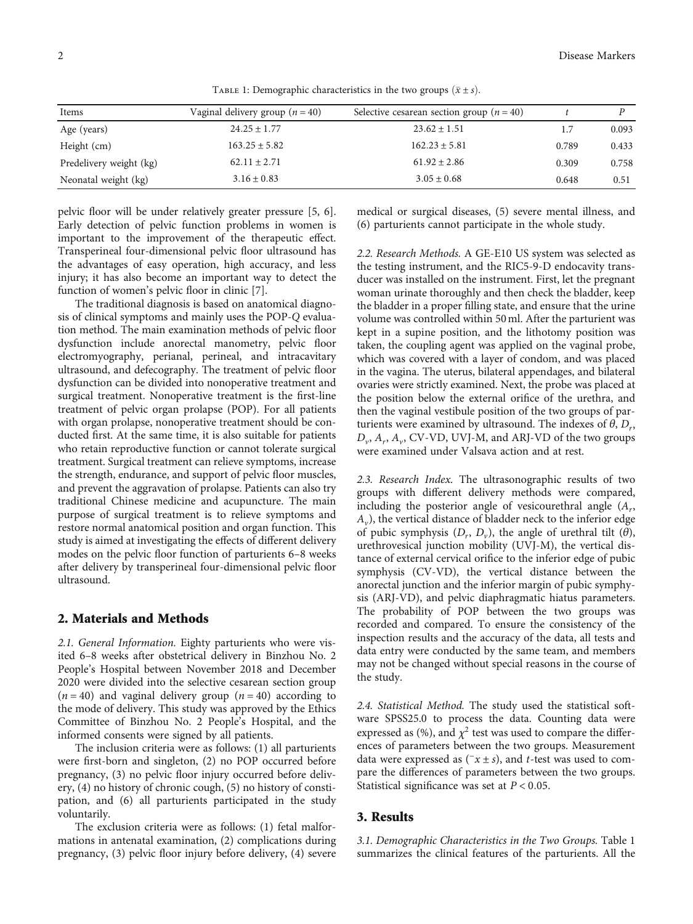| Items                   | Vaginal delivery group $(n = 40)$ | Selective cesarean section group $(n = 40)$ |       |       |  |
|-------------------------|-----------------------------------|---------------------------------------------|-------|-------|--|
| Age (years)             | $24.25 \pm 1.77$                  | $23.62 \pm 1.51$                            | 1.7   | 0.093 |  |
| Height (cm)             | $163.25 \pm 5.82$                 | $162.23 \pm 5.81$                           | 0.789 | 0.433 |  |
| Predelivery weight (kg) | $62.11 \pm 2.71$                  | $61.92 \pm 2.86$                            | 0.309 | 0.758 |  |
| Neonatal weight (kg)    | $3.16 \pm 0.83$                   | $3.05 \pm 0.68$                             | 0.648 | 0.51  |  |

TABLE 1: Demographic characteristics in the two groups  $(\bar{x} \pm s)$ .

pelvic floor will be under relatively greater pressure [[5, 6](#page-4-0)]. Early detection of pelvic function problems in women is important to the improvement of the therapeutic effect. Transperineal four-dimensional pelvic floor ultrasound has the advantages of easy operation, high accuracy, and less injury; it has also become an important way to detect the function of women's pelvic floor in clinic [\[7\]](#page-4-0).

The traditional diagnosis is based on anatomical diagnosis of clinical symptoms and mainly uses the POP-*Q* evaluation method. The main examination methods of pelvic floor dysfunction include anorectal manometry, pelvic floor electromyography, perianal, perineal, and intracavitary ultrasound, and defecography. The treatment of pelvic floor dysfunction can be divided into nonoperative treatment and surgical treatment. Nonoperative treatment is the first-line treatment of pelvic organ prolapse (POP). For all patients with organ prolapse, nonoperative treatment should be conducted first. At the same time, it is also suitable for patients who retain reproductive function or cannot tolerate surgical treatment. Surgical treatment can relieve symptoms, increase the strength, endurance, and support of pelvic floor muscles, and prevent the aggravation of prolapse. Patients can also try traditional Chinese medicine and acupuncture. The main purpose of surgical treatment is to relieve symptoms and restore normal anatomical position and organ function. This study is aimed at investigating the effects of different delivery modes on the pelvic floor function of parturients 6–8 weeks after delivery by transperineal four-dimensional pelvic floor ultrasound.

#### 2. Materials and Methods

2.1. General Information. Eighty parturients who were visited 6–8 weeks after obstetrical delivery in Binzhou No. 2 People's Hospital between November 2018 and December 2020 were divided into the selective cesarean section group  $(n = 40)$  and vaginal delivery group  $(n = 40)$  according to the mode of delivery. This study was approved by the Ethics Committee of Binzhou No. 2 People's Hospital, and the informed consents were signed by all patients.

The inclusion criteria were as follows: (1) all parturients were first-born and singleton, (2) no POP occurred before pregnancy, (3) no pelvic floor injury occurred before delivery, (4) no history of chronic cough, (5) no history of constipation, and (6) all parturients participated in the study voluntarily.

The exclusion criteria were as follows: (1) fetal malformations in antenatal examination, (2) complications during pregnancy, (3) pelvic floor injury before delivery, (4) severe medical or surgical diseases, (5) severe mental illness, and (6) parturients cannot participate in the whole study.

2.2. Research Methods. A GE-E10 US system was selected as the testing instrument, and the RIC5-9-D endocavity transducer was installed on the instrument. First, let the pregnant woman urinate thoroughly and then check the bladder, keep the bladder in a proper filling state, and ensure that the urine volume was controlled within 50 ml. After the parturient was kept in a supine position, and the lithotomy position was taken, the coupling agent was applied on the vaginal probe, which was covered with a layer of condom, and was placed in the vagina. The uterus, bilateral appendages, and bilateral ovaries were strictly examined. Next, the probe was placed at the position below the external orifice of the urethra, and then the vaginal vestibule position of the two groups of parturients were examined by ultrasound. The indexes of  $\theta$ ,  $D_r$ ,  $D_{\nu}$ ,  $A_{\nu}$ ,  $A_{\nu}$ , CV-VD, UVJ-M, and ARJ-VD of the two groups were examined under Valsava action and at rest.

2.3. Research Index. The ultrasonographic results of two groups with different delivery methods were compared, including the posterior angle of vesicourethral angle (*Ar*, *Av*), the vertical distance of bladder neck to the inferior edge of pubic symphysis  $(D_r, D_v)$ , the angle of urethral tilt  $(\theta)$ , urethrovesical junction mobility (UVJ-M), the vertical distance of external cervical orifice to the inferior edge of pubic symphysis (CV-VD), the vertical distance between the anorectal junction and the inferior margin of pubic symphysis (ARJ-VD), and pelvic diaphragmatic hiatus parameters. The probability of POP between the two groups was recorded and compared. To ensure the consistency of the inspection results and the accuracy of the data, all tests and data entry were conducted by the same team, and members may not be changed without special reasons in the course of the study.

2.4. Statistical Method. The study used the statistical software SPSS25.0 to process the data. Counting data were expressed as  $(\%)$ , and  $\chi^2$  test was used to compare the differences of parameters between the two groups. Measurement data were expressed as  $(\neg x \pm s)$ , and *t*-test was used to compare the differences of parameters between the two groups. Statistical significance was set at *P* < 0*:*05.

#### 3. Results

3.1. Demographic Characteristics in the Two Groups. Table 1 summarizes the clinical features of the parturients. All the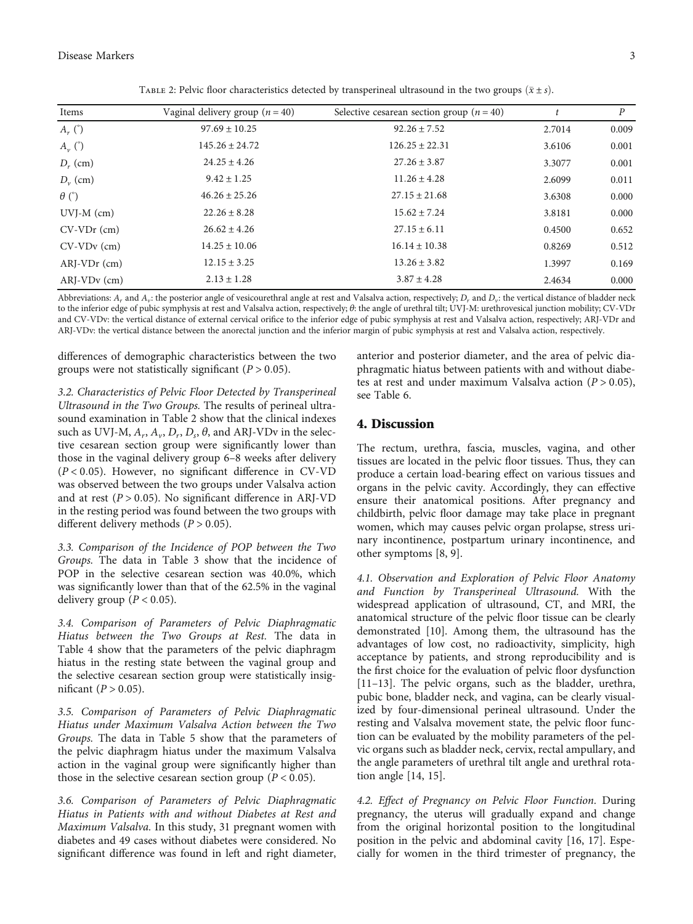| Vaginal delivery group $(n = 40)$ | Selective cesarean section group ( $n = 40$ ) |        | $\boldsymbol{P}$ |
|-----------------------------------|-----------------------------------------------|--------|------------------|
| $97.69 \pm 10.25$                 | $92.26 \pm 7.52$                              | 2.7014 | 0.009            |
| $145.26 \pm 24.72$                | $126.25 \pm 22.31$                            | 3.6106 | 0.001            |
| $24.25 \pm 4.26$                  | $27.26 \pm 3.87$                              | 3.3077 | 0.001            |
| $9.42 \pm 1.25$                   | $11.26 \pm 4.28$                              | 2.6099 | 0.011            |
| $46.26 \pm 25.26$                 | $27.15 \pm 21.68$                             | 3.6308 | 0.000            |
| $22.26 \pm 8.28$                  | $15.62 \pm 7.24$                              | 3.8181 | 0.000            |
| $26.62 \pm 4.26$                  | $27.15 \pm 6.11$                              | 0.4500 | 0.652            |
| $14.25 \pm 10.06$                 | $16.14 \pm 10.38$                             | 0.8269 | 0.512            |
| $12.15 \pm 3.25$                  | $13.26 \pm 3.82$                              | 1.3997 | 0.169            |
| $2.13 \pm 1.28$                   | $3.87 \pm 4.28$                               | 2.4634 | 0.000            |
|                                   |                                               |        |                  |

TABLE 2: Pelvic floor characteristics detected by transperineal ultrasound in the two groups  $(\bar{x} \pm s)$ .

Abbreviations:  $A_r$  and  $A_v$ : the posterior angle of vesicourethral angle at rest and Valsalva action, respectively;  $D_r$  and  $D_v$ : the vertical distance of bladder neck to the inferior edge of pubic symphysis at rest and Valsalva action, respectively; *θ*: the angle of urethral tilt; UVJ-M: urethrovesical junction mobility; CV-VDr and CV-VDv: the vertical distance of external cervical orifice to the inferior edge of pubic symphysis at rest and Valsalva action, respectively; ARJ-VDr and ARJ-VDv: the vertical distance between the anorectal junction and the inferior margin of pubic symphysis at rest and Valsalva action, respectively.

differences of demographic characteristics between the two groups were not statistically significant (*P* > 0*:*05).

3.2. Characteristics of Pelvic Floor Detected by Transperineal Ultrasound in the Two Groups. The results of perineal ultrasound examination in Table 2 show that the clinical indexes such as UVJ-M,  $A_r$ ,  $A_v$ ,  $D_r$ ,  $D_s$ ,  $\theta$ , and ARJ-VDv in the selective cesarean section group were significantly lower than those in the vaginal delivery group 6–8 weeks after delivery (*P* < 0*:*05). However, no significant difference in CV-VD was observed between the two groups under Valsalva action and at rest  $(P > 0.05)$ . No significant difference in ARJ-VD in the resting period was found between the two groups with different delivery methods (*P* > 0*:*05).

3.3. Comparison of the Incidence of POP between the Two Groups. The data in Table [3](#page-3-0) show that the incidence of POP in the selective cesarean section was 40.0%, which was significantly lower than that of the 62.5% in the vaginal delivery group  $(P < 0.05)$ .

3.4. Comparison of Parameters of Pelvic Diaphragmatic Hiatus between the Two Groups at Rest. The data in Table [4](#page-3-0) show that the parameters of the pelvic diaphragm hiatus in the resting state between the vaginal group and the selective cesarean section group were statistically insignificant ( $P > 0.05$ ).

3.5. Comparison of Parameters of Pelvic Diaphragmatic Hiatus under Maximum Valsalva Action between the Two Groups. The data in Table [5](#page-3-0) show that the parameters of the pelvic diaphragm hiatus under the maximum Valsalva action in the vaginal group were significantly higher than those in the selective cesarean section group  $(P < 0.05)$ .

3.6. Comparison of Parameters of Pelvic Diaphragmatic Hiatus in Patients with and without Diabetes at Rest and Maximum Valsalva. In this study, 31 pregnant women with diabetes and 49 cases without diabetes were considered. No significant difference was found in left and right diameter,

anterior and posterior diameter, and the area of pelvic diaphragmatic hiatus between patients with and without diabetes at rest and under maximum Valsalva action (*P* > 0*:*05), see Table [6.](#page-3-0)

# 4. Discussion

The rectum, urethra, fascia, muscles, vagina, and other tissues are located in the pelvic floor tissues. Thus, they can produce a certain load-bearing effect on various tissues and organs in the pelvic cavity. Accordingly, they can effective ensure their anatomical positions. After pregnancy and childbirth, pelvic floor damage may take place in pregnant women, which may causes pelvic organ prolapse, stress urinary incontinence, postpartum urinary incontinence, and other symptoms [\[8](#page-4-0), [9\]](#page-5-0).

4.1. Observation and Exploration of Pelvic Floor Anatomy and Function by Transperineal Ultrasound. With the widespread application of ultrasound, CT, and MRI, the anatomical structure of the pelvic floor tissue can be clearly demonstrated [\[10\]](#page-5-0). Among them, the ultrasound has the advantages of low cost, no radioactivity, simplicity, high acceptance by patients, and strong reproducibility and is the first choice for the evaluation of pelvic floor dysfunction [\[11](#page-5-0)–[13\]](#page-5-0). The pelvic organs, such as the bladder, urethra, pubic bone, bladder neck, and vagina, can be clearly visualized by four-dimensional perineal ultrasound. Under the resting and Valsalva movement state, the pelvic floor function can be evaluated by the mobility parameters of the pelvic organs such as bladder neck, cervix, rectal ampullary, and the angle parameters of urethral tilt angle and urethral rotation angle [[14](#page-5-0), [15\]](#page-5-0).

4.2. Effect of Pregnancy on Pelvic Floor Function. During pregnancy, the uterus will gradually expand and change from the original horizontal position to the longitudinal position in the pelvic and abdominal cavity [[16](#page-5-0), [17\]](#page-5-0). Especially for women in the third trimester of pregnancy, the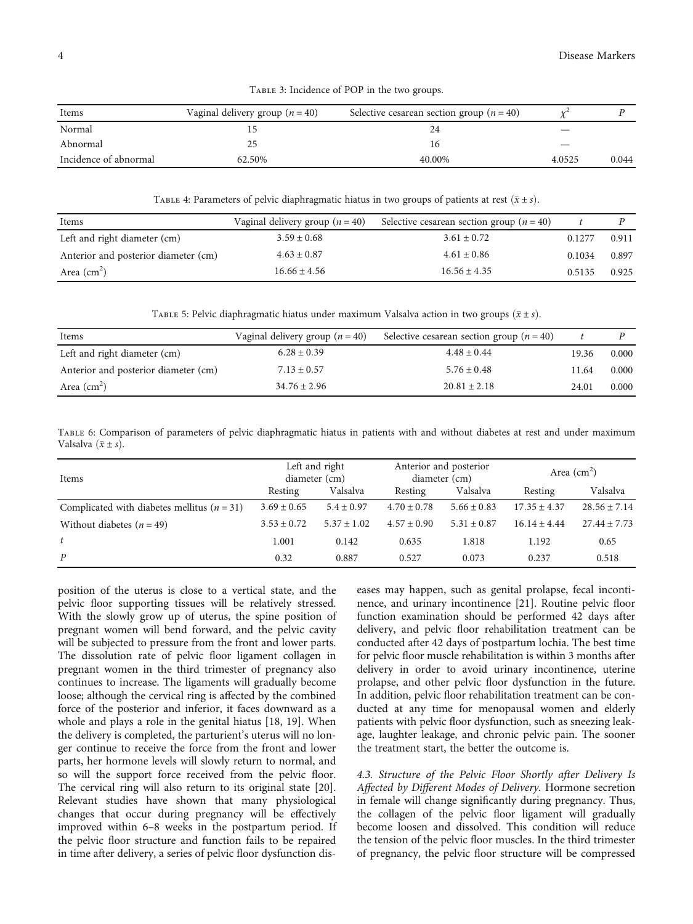<span id="page-3-0"></span>

| Items                 | Vaginal delivery group $(n = 40)$ | Selective cesarean section group ( $n = 40$ ) |        |       |
|-----------------------|-----------------------------------|-----------------------------------------------|--------|-------|
| Normal                |                                   |                                               |        |       |
| Abnormal              |                                   |                                               |        |       |
| Incidence of abnormal | 62.50%                            | 40.00%                                        | 4.0525 | 0.044 |

Table 3: Incidence of POP in the two groups.

TABLE 4: Parameters of pelvic diaphragmatic hiatus in two groups of patients at rest  $(\bar{x} \pm s)$ .

| Items                                | Vaginal delivery group $(n = 40)$ | Selective cesarean section group ( $n = 40$ ) |        |       |
|--------------------------------------|-----------------------------------|-----------------------------------------------|--------|-------|
| Left and right diameter (cm)         | $3.59 \pm 0.68$                   | $3.61 \pm 0.72$                               | 0.1277 | 0.911 |
| Anterior and posterior diameter (cm) | $4.63 \pm 0.87$                   | $4.61 \pm 0.86$                               | 0.1034 | 0.897 |
| Area $\rm (cm^2)$                    | $16.66 \pm 4.56$                  | $16.56 \pm 4.35$                              | 0.5135 | 0.925 |

TABLE 5: Pelvic diaphragmatic hiatus under maximum Valsalva action in two groups  $(\bar{x} \pm s)$ .

| Items                                | Vaginal delivery group $(n = 40)$ | Selective cesarean section group $(n = 40)$ |       |       |
|--------------------------------------|-----------------------------------|---------------------------------------------|-------|-------|
| Left and right diameter (cm)         | $6.28 \pm 0.39$                   | $4.48 \pm 0.44$                             | 19.36 | 0.000 |
| Anterior and posterior diameter (cm) | $7.13 \pm 0.57$                   | $5.76 \pm 0.48$                             | 11.64 | 0.000 |
| Area $\text{(cm}^2)$                 | $34.76 \pm 2.96$                  | $20.81 \pm 2.18$                            | 24.01 | 0.000 |

Table 6: Comparison of parameters of pelvic diaphragmatic hiatus in patients with and without diabetes at rest and under maximum Valsalva  $(\bar{x} \pm s)$ .

| Items                                           | Left and right<br>diameter (cm) |               | Anterior and posterior<br>diameter (cm) |                 | Area $\text{(cm}^2\text{)}$ |                  |
|-------------------------------------------------|---------------------------------|---------------|-----------------------------------------|-----------------|-----------------------------|------------------|
|                                                 | Resting                         | Valsalva      | Resting                                 | Valsalva        | Resting                     | Valsalva         |
| Complicated with diabetes mellitus ( $n = 31$ ) | $3.69 \pm 0.65$                 | $5.4 + 0.97$  | $4.70 \pm 0.78$                         | $5.66 \pm 0.83$ | $17.35 \pm 4.37$            | $28.56 \pm 7.14$ |
| Without diabetes $(n = 49)$                     | $3.53 \pm 0.72$                 | $5.37 + 1.02$ | $4.57 + 0.90$                           | $5.31 \pm 0.87$ | $16.14 \pm 4.44$            | $27.44 \pm 7.73$ |
| t                                               | 1.001                           | 0.142         | 0.635                                   | 1.818           | 1.192                       | 0.65             |
| $\boldsymbol{P}$                                | 0.32                            | 0.887         | 0.527                                   | 0.073           | 0.237                       | 0.518            |

position of the uterus is close to a vertical state, and the pelvic floor supporting tissues will be relatively stressed. With the slowly grow up of uterus, the spine position of pregnant women will bend forward, and the pelvic cavity will be subjected to pressure from the front and lower parts. The dissolution rate of pelvic floor ligament collagen in pregnant women in the third trimester of pregnancy also continues to increase. The ligaments will gradually become loose; although the cervical ring is affected by the combined force of the posterior and inferior, it faces downward as a whole and plays a role in the genital hiatus [[18](#page-5-0), [19](#page-5-0)]. When the delivery is completed, the parturient's uterus will no longer continue to receive the force from the front and lower parts, her hormone levels will slowly return to normal, and so will the support force received from the pelvic floor. The cervical ring will also return to its original state [[20](#page-5-0)]. Relevant studies have shown that many physiological changes that occur during pregnancy will be effectively improved within 6–8 weeks in the postpartum period. If the pelvic floor structure and function fails to be repaired in time after delivery, a series of pelvic floor dysfunction diseases may happen, such as genital prolapse, fecal incontinence, and urinary incontinence [\[21](#page-5-0)]. Routine pelvic floor function examination should be performed 42 days after delivery, and pelvic floor rehabilitation treatment can be conducted after 42 days of postpartum lochia. The best time for pelvic floor muscle rehabilitation is within 3 months after delivery in order to avoid urinary incontinence, uterine prolapse, and other pelvic floor dysfunction in the future. In addition, pelvic floor rehabilitation treatment can be conducted at any time for menopausal women and elderly patients with pelvic floor dysfunction, such as sneezing leakage, laughter leakage, and chronic pelvic pain. The sooner the treatment start, the better the outcome is.

4.3. Structure of the Pelvic Floor Shortly after Delivery Is Affected by Different Modes of Delivery. Hormone secretion in female will change significantly during pregnancy. Thus, the collagen of the pelvic floor ligament will gradually become loosen and dissolved. This condition will reduce the tension of the pelvic floor muscles. In the third trimester of pregnancy, the pelvic floor structure will be compressed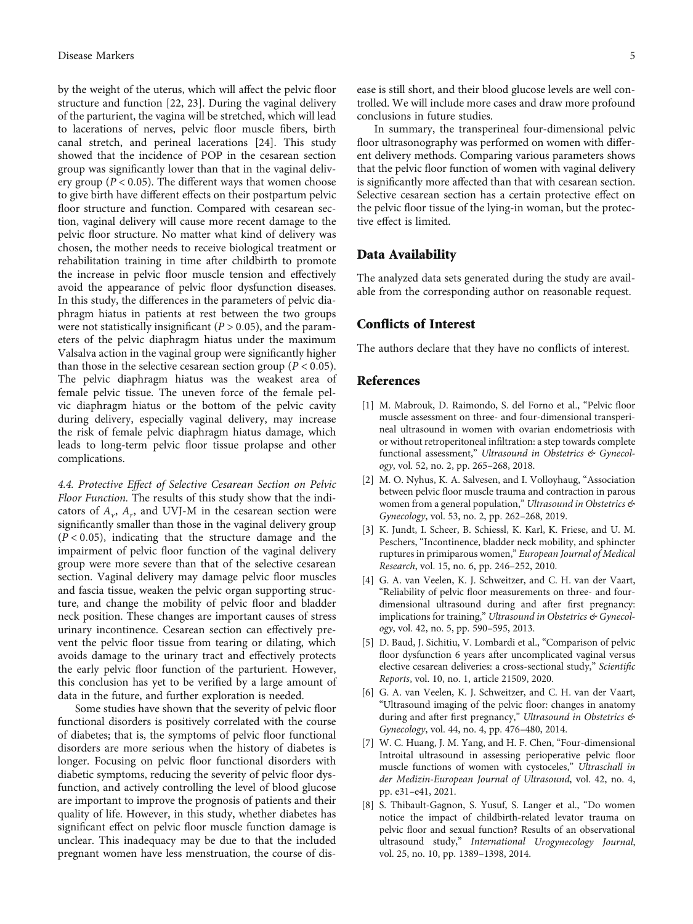<span id="page-4-0"></span>by the weight of the uterus, which will affect the pelvic floor structure and function [\[22, 23\]](#page-5-0). During the vaginal delivery of the parturient, the vagina will be stretched, which will lead to lacerations of nerves, pelvic floor muscle fibers, birth canal stretch, and perineal lacerations [\[24\]](#page-5-0). This study showed that the incidence of POP in the cesarean section group was significantly lower than that in the vaginal delivery group ( $P < 0.05$ ). The different ways that women choose to give birth have different effects on their postpartum pelvic floor structure and function. Compared with cesarean section, vaginal delivery will cause more recent damage to the pelvic floor structure. No matter what kind of delivery was chosen, the mother needs to receive biological treatment or rehabilitation training in time after childbirth to promote the increase in pelvic floor muscle tension and effectively avoid the appearance of pelvic floor dysfunction diseases. In this study, the differences in the parameters of pelvic diaphragm hiatus in patients at rest between the two groups were not statistically insignificant (*P* > 0*:*05), and the parameters of the pelvic diaphragm hiatus under the maximum Valsalva action in the vaginal group were significantly higher than those in the selective cesarean section group ( $P < 0.05$ ). The pelvic diaphragm hiatus was the weakest area of female pelvic tissue. The uneven force of the female pelvic diaphragm hiatus or the bottom of the pelvic cavity during delivery, especially vaginal delivery, may increase the risk of female pelvic diaphragm hiatus damage, which leads to long-term pelvic floor tissue prolapse and other complications.

4.4. Protective Effect of Selective Cesarean Section on Pelvic Floor Function. The results of this study show that the indicators of  $A_{\nu}$ ,  $A_{\nu}$ , and UVJ-M in the cesarean section were significantly smaller than those in the vaginal delivery group  $(P < 0.05)$ , indicating that the structure damage and the impairment of pelvic floor function of the vaginal delivery group were more severe than that of the selective cesarean section. Vaginal delivery may damage pelvic floor muscles and fascia tissue, weaken the pelvic organ supporting structure, and change the mobility of pelvic floor and bladder neck position. These changes are important causes of stress urinary incontinence. Cesarean section can effectively prevent the pelvic floor tissue from tearing or dilating, which avoids damage to the urinary tract and effectively protects the early pelvic floor function of the parturient. However, this conclusion has yet to be verified by a large amount of data in the future, and further exploration is needed.

Some studies have shown that the severity of pelvic floor functional disorders is positively correlated with the course of diabetes; that is, the symptoms of pelvic floor functional disorders are more serious when the history of diabetes is longer. Focusing on pelvic floor functional disorders with diabetic symptoms, reducing the severity of pelvic floor dysfunction, and actively controlling the level of blood glucose are important to improve the prognosis of patients and their quality of life. However, in this study, whether diabetes has significant effect on pelvic floor muscle function damage is unclear. This inadequacy may be due to that the included pregnant women have less menstruation, the course of disease is still short, and their blood glucose levels are well controlled. We will include more cases and draw more profound conclusions in future studies.

In summary, the transperineal four-dimensional pelvic floor ultrasonography was performed on women with different delivery methods. Comparing various parameters shows that the pelvic floor function of women with vaginal delivery is significantly more affected than that with cesarean section. Selective cesarean section has a certain protective effect on the pelvic floor tissue of the lying-in woman, but the protective effect is limited.

## Data Availability

The analyzed data sets generated during the study are available from the corresponding author on reasonable request.

# Conflicts of Interest

The authors declare that they have no conflicts of interest.

# References

- [1] M. Mabrouk, D. Raimondo, S. del Forno et al., "Pelvic floor muscle assessment on three- and four-dimensional transperineal ultrasound in women with ovarian endometriosis with or without retroperitoneal infiltration: a step towards complete functional assessment," Ultrasound in Obstetrics & Gynecology, vol. 52, no. 2, pp. 265–268, 2018.
- [2] M. O. Nyhus, K. A. Salvesen, and I. Volloyhaug, "Association between pelvic floor muscle trauma and contraction in parous women from a general population," Ultrasound in Obstetrics & Gynecology, vol. 53, no. 2, pp. 262–268, 2019.
- [3] K. Jundt, I. Scheer, B. Schiessl, K. Karl, K. Friese, and U. M. Peschers, "Incontinence, bladder neck mobility, and sphincter ruptures in primiparous women," European Journal of Medical Research, vol. 15, no. 6, pp. 246–252, 2010.
- [4] G. A. van Veelen, K. J. Schweitzer, and C. H. van der Vaart, "Reliability of pelvic floor measurements on three- and fourdimensional ultrasound during and after first pregnancy: implications for training," Ultrasound in Obstetrics & Gynecology, vol. 42, no. 5, pp. 590–595, 2013.
- [5] D. Baud, J. Sichitiu, V. Lombardi et al., "Comparison of pelvic floor dysfunction 6 years after uncomplicated vaginal versus elective cesarean deliveries: a cross-sectional study," Scientific Reports, vol. 10, no. 1, article 21509, 2020.
- [6] G. A. van Veelen, K. J. Schweitzer, and C. H. van der Vaart, "Ultrasound imaging of the pelvic floor: changes in anatomy during and after first pregnancy," Ultrasound in Obstetrics & Gynecology, vol. 44, no. 4, pp. 476–480, 2014.
- [7] W. C. Huang, J. M. Yang, and H. F. Chen, "Four-dimensional Introital ultrasound in assessing perioperative pelvic floor muscle functions of women with cystoceles," Ultraschall in der Medizin-European Journal of Ultrasound, vol. 42, no. 4, pp. e31–e41, 2021.
- [8] S. Thibault-Gagnon, S. Yusuf, S. Langer et al., "Do women notice the impact of childbirth-related levator trauma on pelvic floor and sexual function? Results of an observational ultrasound study," International Urogynecology Journal, vol. 25, no. 10, pp. 1389–1398, 2014.